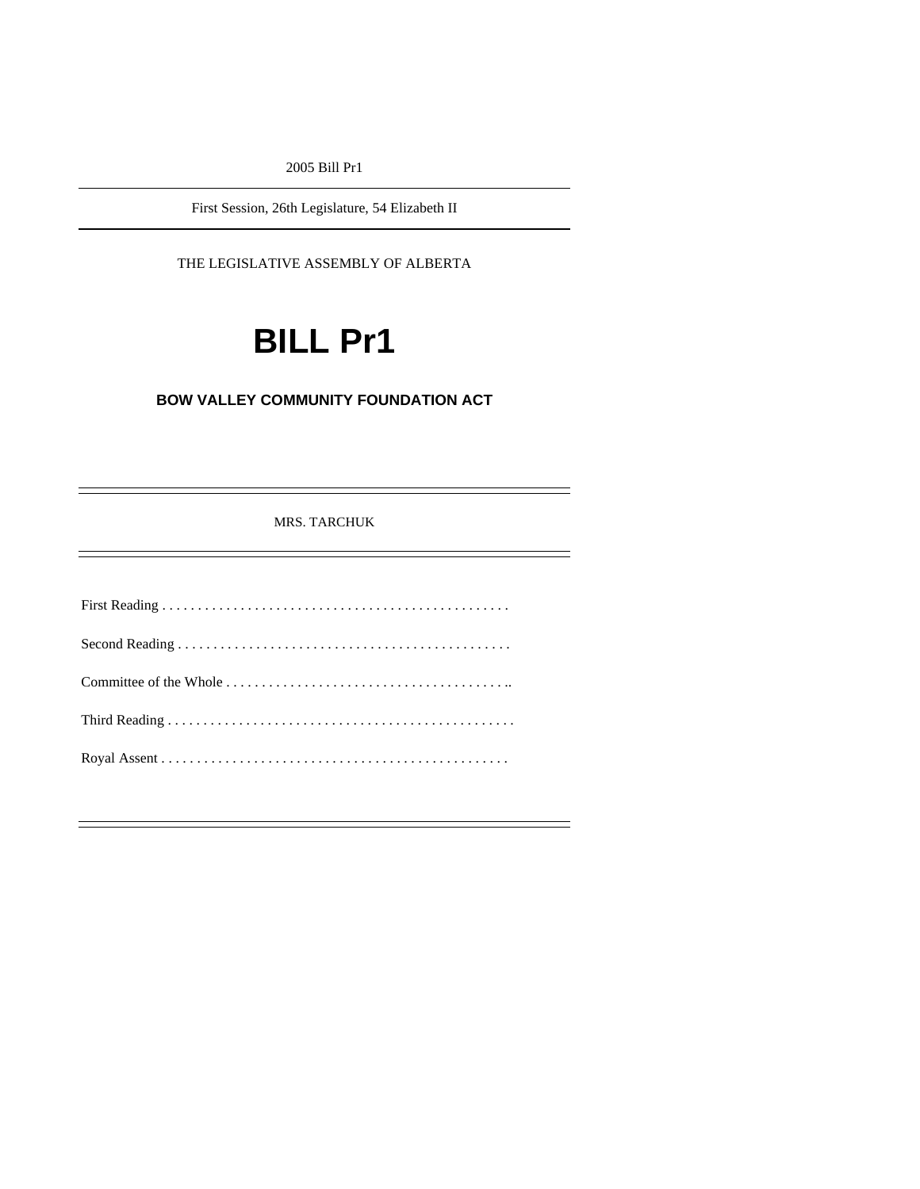2005 Bill Pr1

First Session, 26th Legislature, 54 Elizabeth II

THE LEGISLATIVE ASSEMBLY OF ALBERTA

# **BILL Pr1**

# **BOW VALLEY COMMUNITY FOUNDATION ACT**

MRS. TARCHUK

First Reading . . . . . . . . . . . . . . . . . . . . . . . . . . . . . . . . . . . . . . . . . . . . . . . . . Second Reading . . . . . . . . . . . . . . . . . . . . . . . . . . . . . . . . . . . . . . . . . . . . . . . Committee of the Whole . . . . . . . . . . . . . . . . . . . . . . . . . . . . . . . . . . . . . . . .. Third Reading . . . . . . . . . . . . . . . . . . . . . . . . . . . . . . . . . . . . . . . . . . . . . . . . . Royal Assent . . . . . . . . . . . . . . . . . . . . . . . . . . . . . . . . . . . . . . . . . . . . . . . . .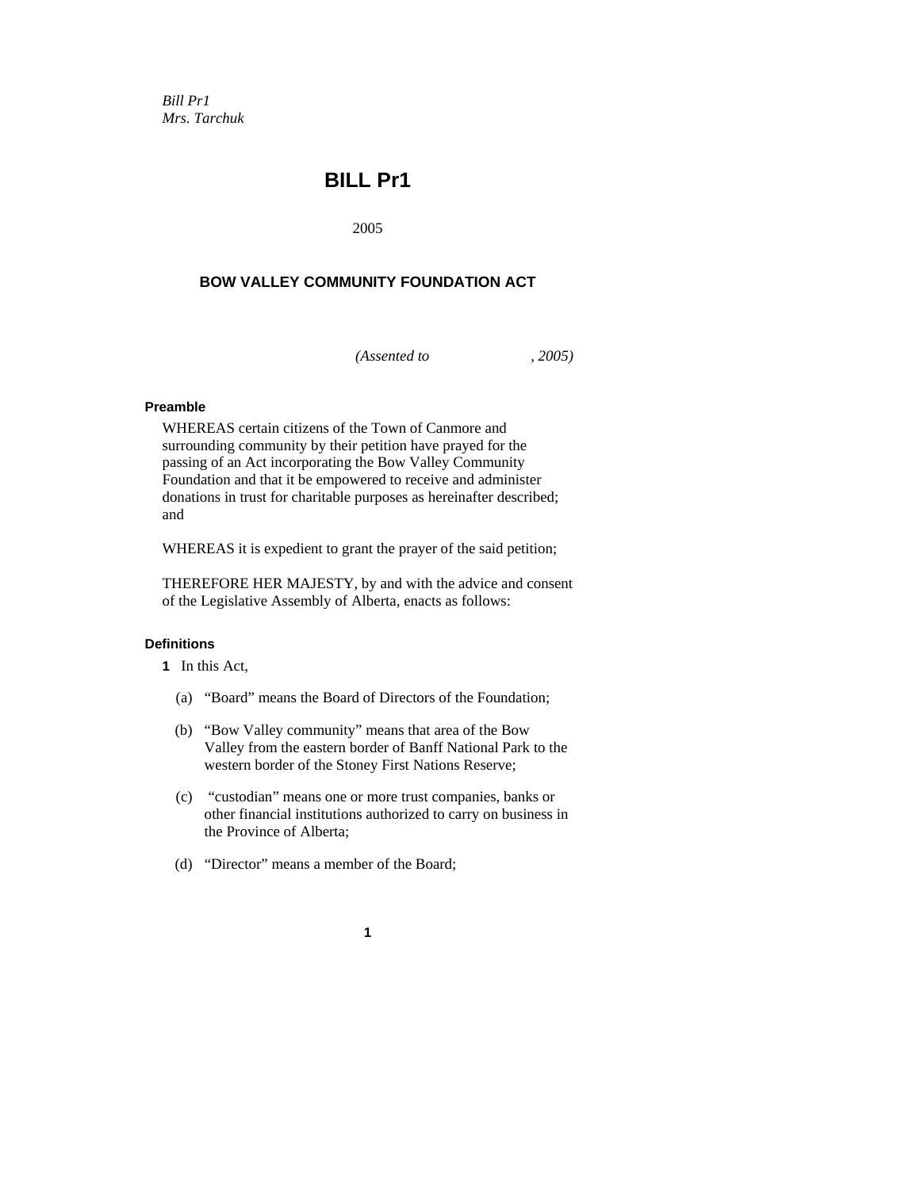*Bill Pr1 Mrs. Tarchuk* 

# **BILL Pr1**

2005

# **BOW VALLEY COMMUNITY FOUNDATION ACT**

*(Assented to , 2005)* 

# **Preamble**

WHEREAS certain citizens of the Town of Canmore and surrounding community by their petition have prayed for the passing of an Act incorporating the Bow Valley Community Foundation and that it be empowered to receive and administer donations in trust for charitable purposes as hereinafter described; and

WHEREAS it is expedient to grant the prayer of the said petition;

THEREFORE HER MAJESTY, by and with the advice and consent of the Legislative Assembly of Alberta, enacts as follows:

# **Definitions**

**1** In this Act,

- (a) "Board" means the Board of Directors of the Foundation;
- (b) "Bow Valley community" means that area of the Bow Valley from the eastern border of Banff National Park to the western border of the Stoney First Nations Reserve;
- (c) "custodian" means one or more trust companies, banks or other financial institutions authorized to carry on business in the Province of Alberta;
- (d) "Director" means a member of the Board;
	- **1**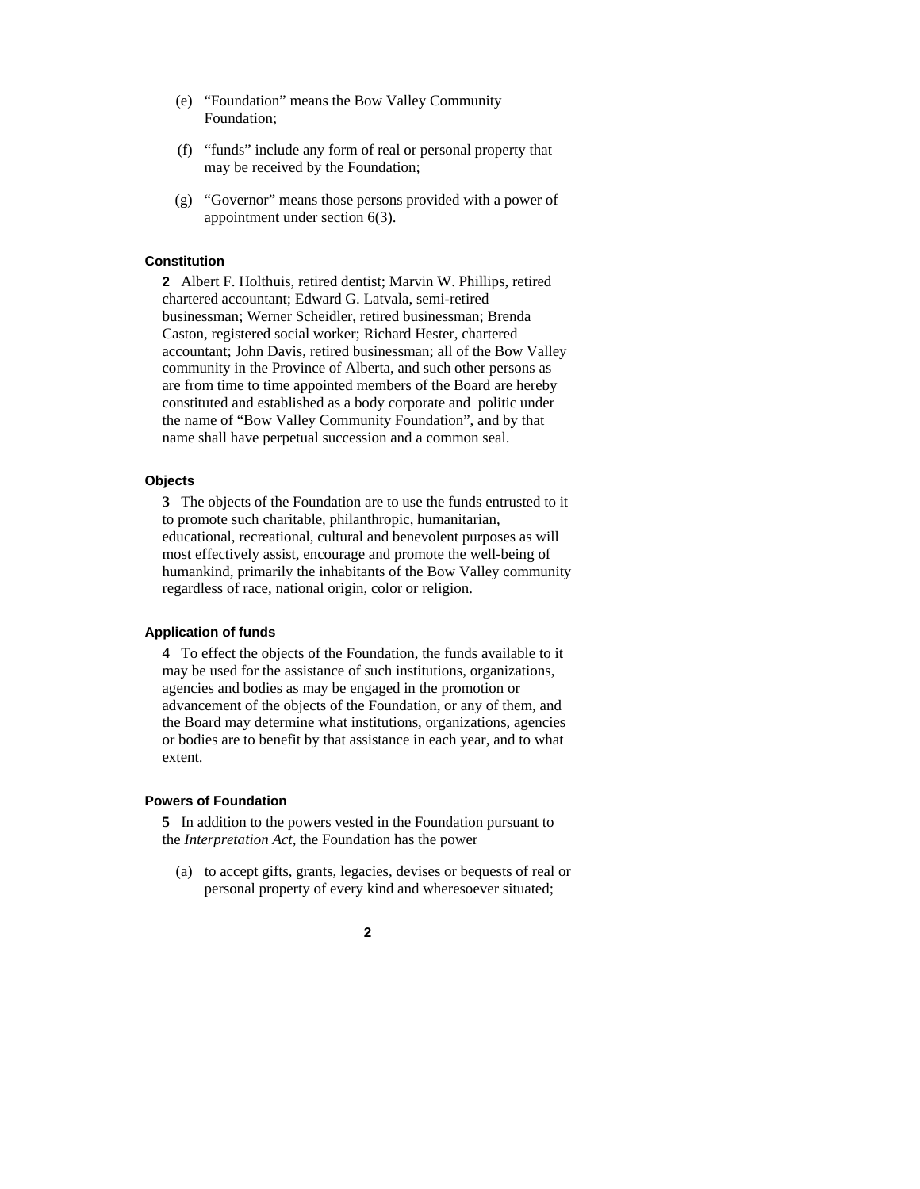- (e) "Foundation" means the Bow Valley Community Foundation;
- (f) "funds" include any form of real or personal property that may be received by the Foundation;
- (g) "Governor" means those persons provided with a power of appointment under section 6(3).

#### **Constitution**

**2** Albert F. Holthuis, retired dentist; Marvin W. Phillips, retired chartered accountant; Edward G. Latvala, semi-retired businessman; Werner Scheidler, retired businessman; Brenda Caston, registered social worker; Richard Hester, chartered accountant; John Davis, retired businessman; all of the Bow Valley community in the Province of Alberta, and such other persons as are from time to time appointed members of the Board are hereby constituted and established as a body corporate and politic under the name of "Bow Valley Community Foundation", and by that name shall have perpetual succession and a common seal.

#### **Objects**

**3** The objects of the Foundation are to use the funds entrusted to it to promote such charitable, philanthropic, humanitarian, educational, recreational, cultural and benevolent purposes as will most effectively assist, encourage and promote the well-being of humankind, primarily the inhabitants of the Bow Valley community regardless of race, national origin, color or religion.

#### **Application of funds**

**4** To effect the objects of the Foundation, the funds available to it may be used for the assistance of such institutions, organizations, agencies and bodies as may be engaged in the promotion or advancement of the objects of the Foundation, or any of them, and the Board may determine what institutions, organizations, agencies or bodies are to benefit by that assistance in each year, and to what extent.

# **Powers of Foundation**

**5** In addition to the powers vested in the Foundation pursuant to the *Interpretation Act*, the Foundation has the power

 (a) to accept gifts, grants, legacies, devises or bequests of real or personal property of every kind and wheresoever situated;

# **2**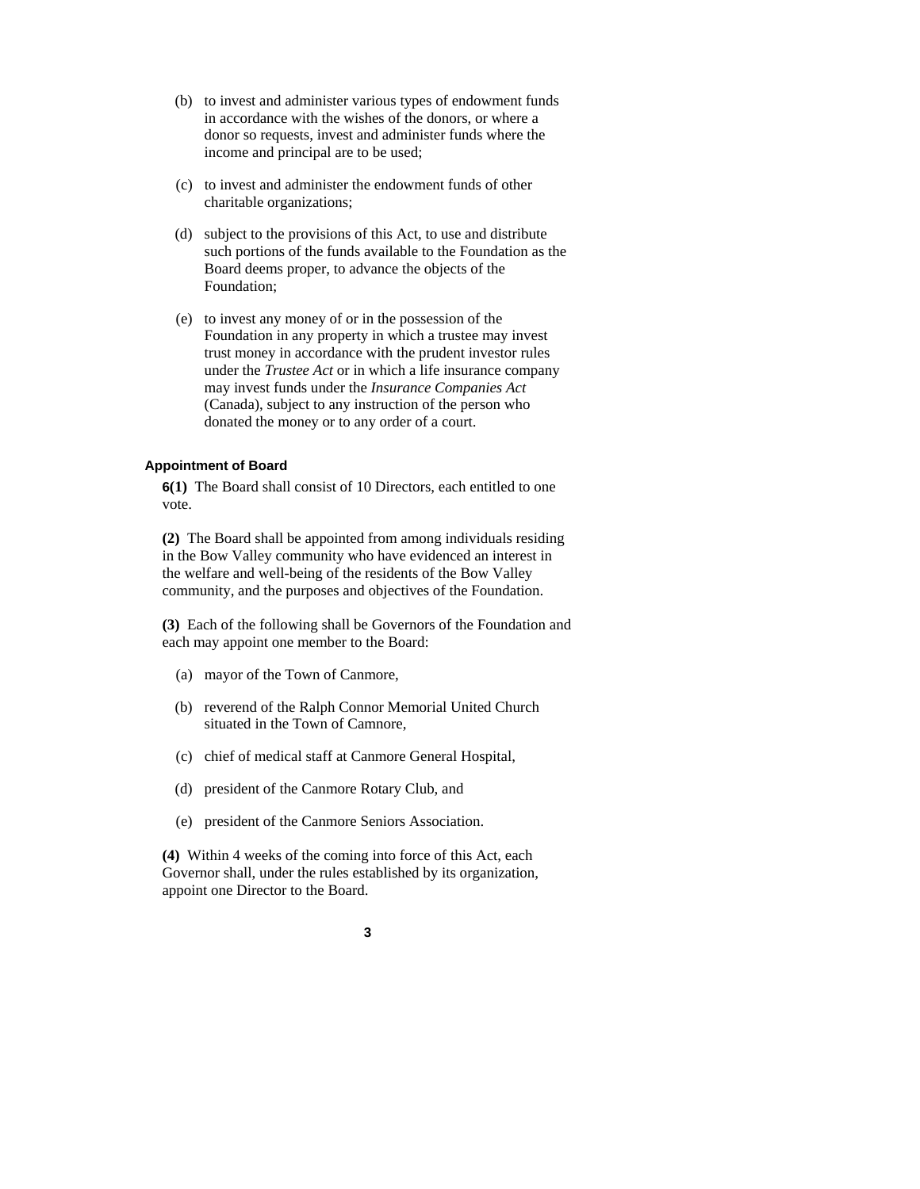- (b) to invest and administer various types of endowment funds in accordance with the wishes of the donors, or where a donor so requests, invest and administer funds where the income and principal are to be used;
- (c) to invest and administer the endowment funds of other charitable organizations;
- (d) subject to the provisions of this Act, to use and distribute such portions of the funds available to the Foundation as the Board deems proper, to advance the objects of the Foundation;
- (e) to invest any money of or in the possession of the Foundation in any property in which a trustee may invest trust money in accordance with the prudent investor rules under the *Trustee Act* or in which a life insurance company may invest funds under the *Insurance Companies Act* (Canada), subject to any instruction of the person who donated the money or to any order of a court.

#### **Appointment of Board**

**6(1)** The Board shall consist of 10 Directors, each entitled to one vote.

**(2)** The Board shall be appointed from among individuals residing in the Bow Valley community who have evidenced an interest in the welfare and well-being of the residents of the Bow Valley community, and the purposes and objectives of the Foundation.

**(3)** Each of the following shall be Governors of the Foundation and each may appoint one member to the Board:

- (a) mayor of the Town of Canmore,
- (b) reverend of the Ralph Connor Memorial United Church situated in the Town of Camnore,
- (c) chief of medical staff at Canmore General Hospital,
- (d) president of the Canmore Rotary Club, and
- (e) president of the Canmore Seniors Association.

**(4)** Within 4 weeks of the coming into force of this Act, each Governor shall, under the rules established by its organization, appoint one Director to the Board.

# **3**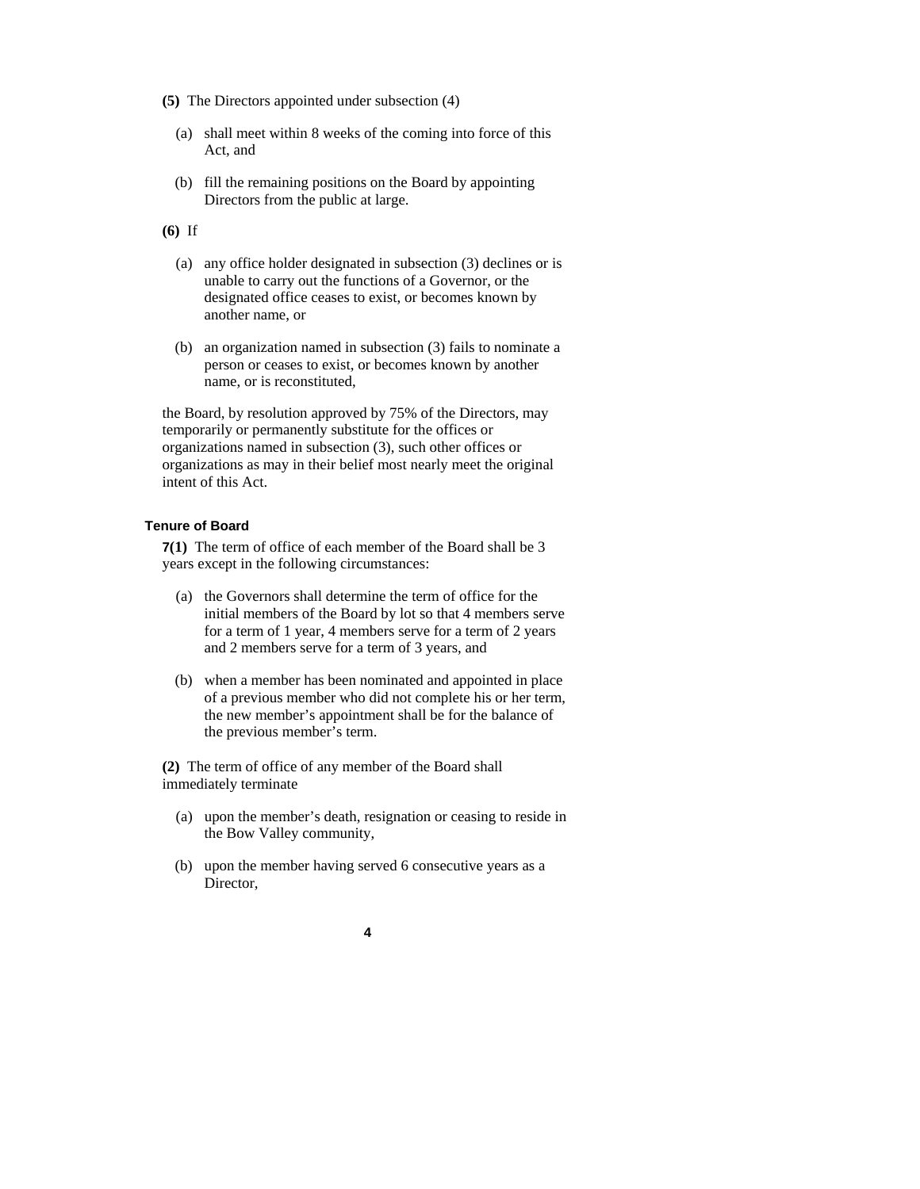- **(5)** The Directors appointed under subsection (4)
	- (a) shall meet within 8 weeks of the coming into force of this Act, and
	- (b) fill the remaining positions on the Board by appointing Directors from the public at large.

**(6)** If

- (a) any office holder designated in subsection (3) declines or is unable to carry out the functions of a Governor, or the designated office ceases to exist, or becomes known by another name, or
- (b) an organization named in subsection (3) fails to nominate a person or ceases to exist, or becomes known by another name, or is reconstituted,

the Board, by resolution approved by 75% of the Directors, may temporarily or permanently substitute for the offices or organizations named in subsection (3), such other offices or organizations as may in their belief most nearly meet the original intent of this Act.

#### **Tenure of Board**

**7(1)** The term of office of each member of the Board shall be 3 years except in the following circumstances:

- (a) the Governors shall determine the term of office for the initial members of the Board by lot so that 4 members serve for a term of 1 year, 4 members serve for a term of 2 years and 2 members serve for a term of 3 years, and
- (b) when a member has been nominated and appointed in place of a previous member who did not complete his or her term, the new member's appointment shall be for the balance of the previous member's term.

**(2)** The term of office of any member of the Board shall immediately terminate

- (a) upon the member's death, resignation or ceasing to reside in the Bow Valley community,
- (b) upon the member having served 6 consecutive years as a Director,

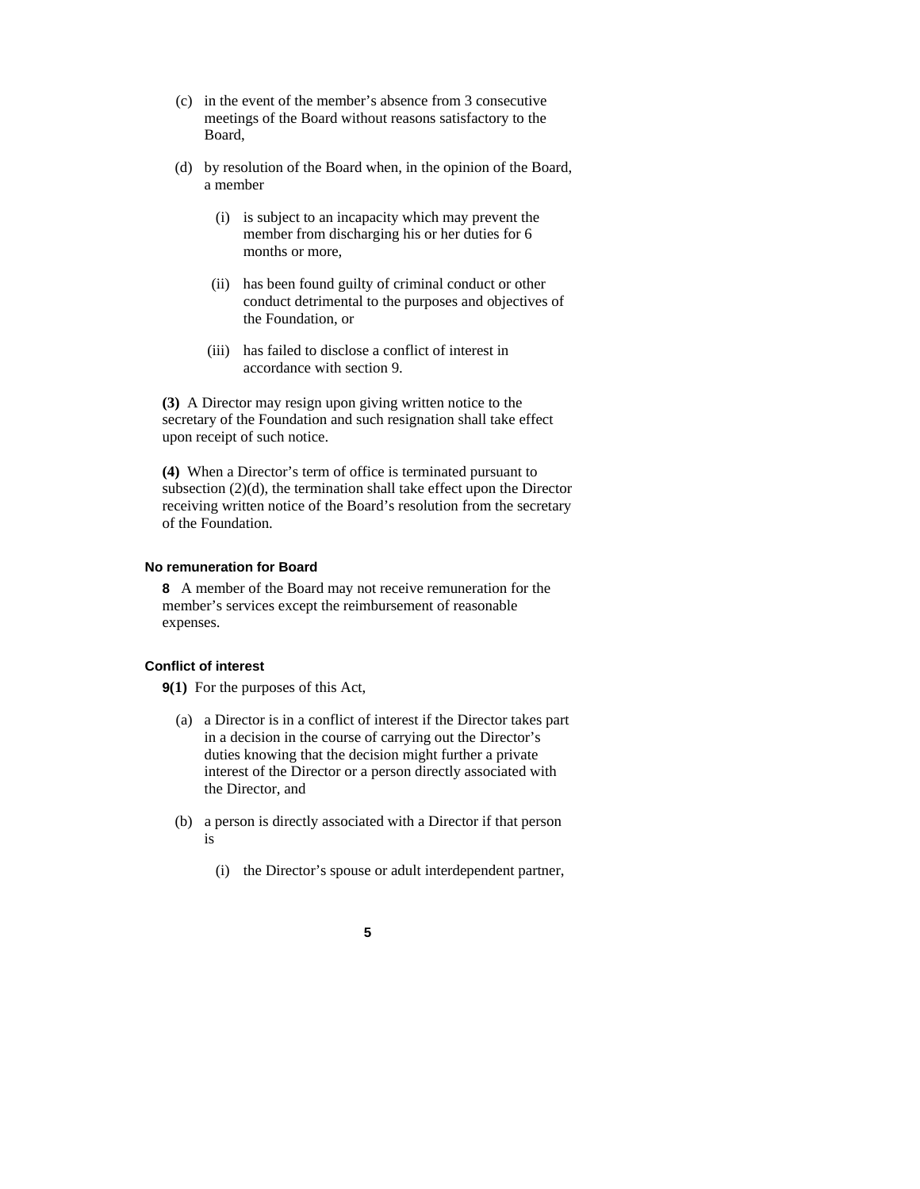- (c) in the event of the member's absence from 3 consecutive meetings of the Board without reasons satisfactory to the Board,
- (d) by resolution of the Board when, in the opinion of the Board, a member
	- (i) is subject to an incapacity which may prevent the member from discharging his or her duties for 6 months or more,
	- (ii) has been found guilty of criminal conduct or other conduct detrimental to the purposes and objectives of the Foundation, or
	- (iii) has failed to disclose a conflict of interest in accordance with section 9.

**(3)** A Director may resign upon giving written notice to the secretary of the Foundation and such resignation shall take effect upon receipt of such notice.

**(4)** When a Director's term of office is terminated pursuant to subsection (2)(d), the termination shall take effect upon the Director receiving written notice of the Board's resolution from the secretary of the Foundation.

#### **No remuneration for Board**

**8** A member of the Board may not receive remuneration for the member's services except the reimbursement of reasonable expenses.

#### **Conflict of interest**

**9(1)** For the purposes of this Act,

- (a) a Director is in a conflict of interest if the Director takes part in a decision in the course of carrying out the Director's duties knowing that the decision might further a private interest of the Director or a person directly associated with the Director, and
- (b) a person is directly associated with a Director if that person is
	- (i) the Director's spouse or adult interdependent partner,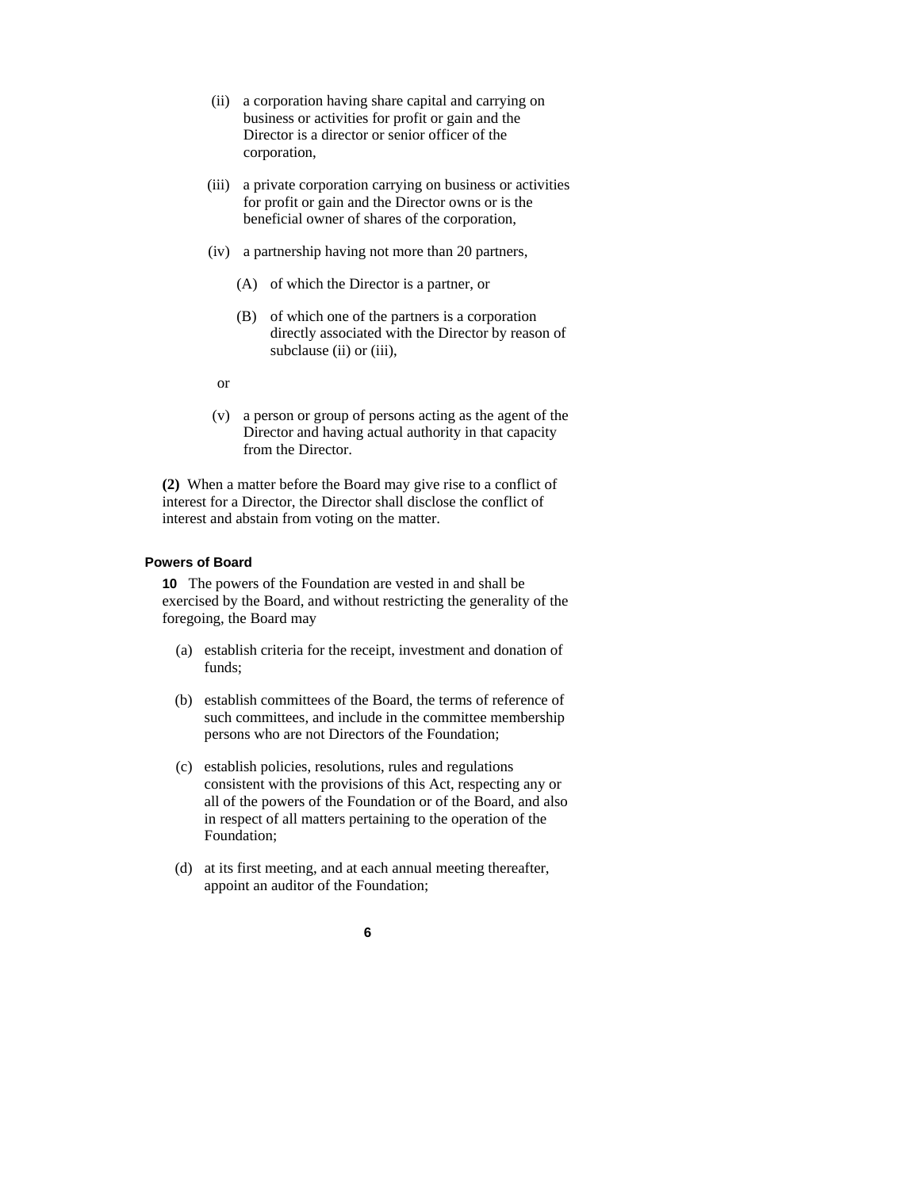- (ii) a corporation having share capital and carrying on business or activities for profit or gain and the Director is a director or senior officer of the corporation,
- (iii) a private corporation carrying on business or activities for profit or gain and the Director owns or is the beneficial owner of shares of the corporation,
- (iv) a partnership having not more than 20 partners,
	- (A) of which the Director is a partner, or
	- (B) of which one of the partners is a corporation directly associated with the Director by reason of subclause (ii) or (iii),
- or
- (v) a person or group of persons acting as the agent of the Director and having actual authority in that capacity from the Director.

**(2)** When a matter before the Board may give rise to a conflict of interest for a Director, the Director shall disclose the conflict of interest and abstain from voting on the matter.

#### **Powers of Board**

**10** The powers of the Foundation are vested in and shall be exercised by the Board, and without restricting the generality of the foregoing, the Board may

- (a) establish criteria for the receipt, investment and donation of funds;
- (b) establish committees of the Board, the terms of reference of such committees, and include in the committee membership persons who are not Directors of the Foundation;
- (c) establish policies, resolutions, rules and regulations consistent with the provisions of this Act, respecting any or all of the powers of the Foundation or of the Board, and also in respect of all matters pertaining to the operation of the Foundation;
- (d) at its first meeting, and at each annual meeting thereafter, appoint an auditor of the Foundation;

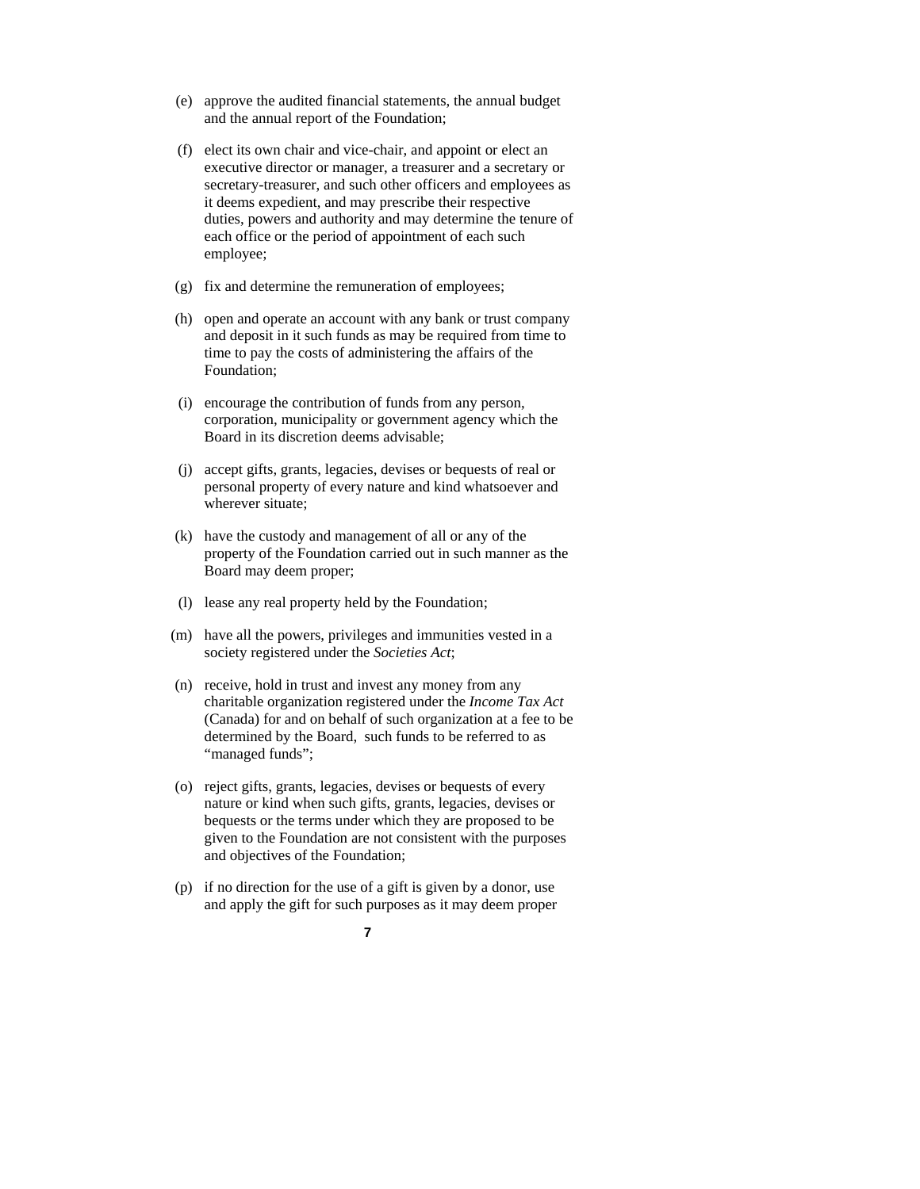- (e) approve the audited financial statements, the annual budget and the annual report of the Foundation;
- (f) elect its own chair and vice-chair, and appoint or elect an executive director or manager, a treasurer and a secretary or secretary-treasurer, and such other officers and employees as it deems expedient, and may prescribe their respective duties, powers and authority and may determine the tenure of each office or the period of appointment of each such employee;
- (g) fix and determine the remuneration of employees;
- (h) open and operate an account with any bank or trust company and deposit in it such funds as may be required from time to time to pay the costs of administering the affairs of the Foundation;
- (i) encourage the contribution of funds from any person, corporation, municipality or government agency which the Board in its discretion deems advisable;
- (j) accept gifts, grants, legacies, devises or bequests of real or personal property of every nature and kind whatsoever and wherever situate;
- (k) have the custody and management of all or any of the property of the Foundation carried out in such manner as the Board may deem proper;
- (l) lease any real property held by the Foundation;
- (m) have all the powers, privileges and immunities vested in a society registered under the *Societies Act*;
- (n) receive, hold in trust and invest any money from any charitable organization registered under the *Income Tax Act* (Canada) for and on behalf of such organization at a fee to be determined by the Board, such funds to be referred to as "managed funds";
- (o) reject gifts, grants, legacies, devises or bequests of every nature or kind when such gifts, grants, legacies, devises or bequests or the terms under which they are proposed to be given to the Foundation are not consistent with the purposes and objectives of the Foundation;
- (p) if no direction for the use of a gift is given by a donor, use and apply the gift for such purposes as it may deem proper

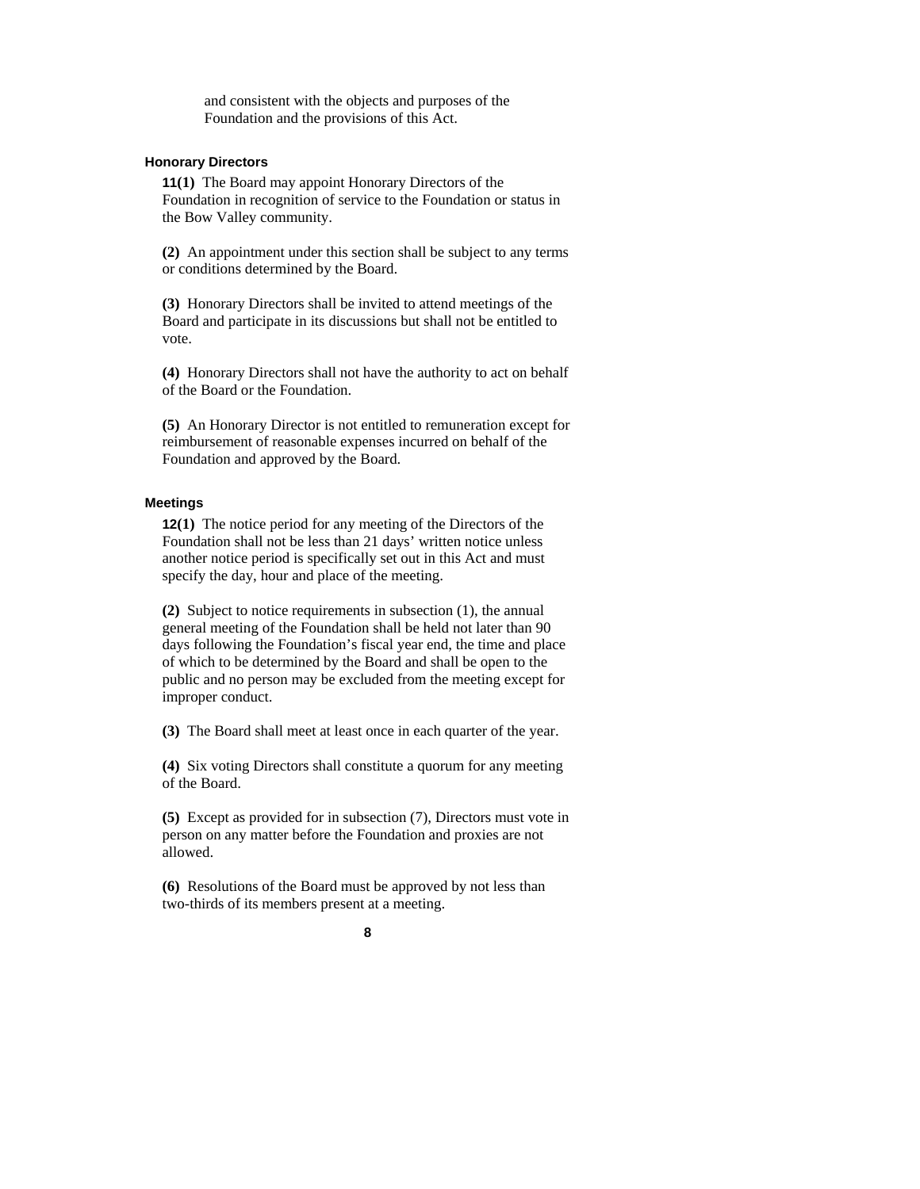and consistent with the objects and purposes of the Foundation and the provisions of this Act.

#### **Honorary Directors**

**11(1)** The Board may appoint Honorary Directors of the Foundation in recognition of service to the Foundation or status in the Bow Valley community.

**(2)** An appointment under this section shall be subject to any terms or conditions determined by the Board.

**(3)** Honorary Directors shall be invited to attend meetings of the Board and participate in its discussions but shall not be entitled to vote.

**(4)** Honorary Directors shall not have the authority to act on behalf of the Board or the Foundation.

**(5)** An Honorary Director is not entitled to remuneration except for reimbursement of reasonable expenses incurred on behalf of the Foundation and approved by the Board.

#### **Meetings**

**12(1)** The notice period for any meeting of the Directors of the Foundation shall not be less than 21 days' written notice unless another notice period is specifically set out in this Act and must specify the day, hour and place of the meeting.

**(2)** Subject to notice requirements in subsection (1), the annual general meeting of the Foundation shall be held not later than 90 days following the Foundation's fiscal year end, the time and place of which to be determined by the Board and shall be open to the public and no person may be excluded from the meeting except for improper conduct.

**(3)** The Board shall meet at least once in each quarter of the year.

**(4)** Six voting Directors shall constitute a quorum for any meeting of the Board.

**(5)** Except as provided for in subsection (7), Directors must vote in person on any matter before the Foundation and proxies are not allowed.

**(6)** Resolutions of the Board must be approved by not less than two-thirds of its members present at a meeting.

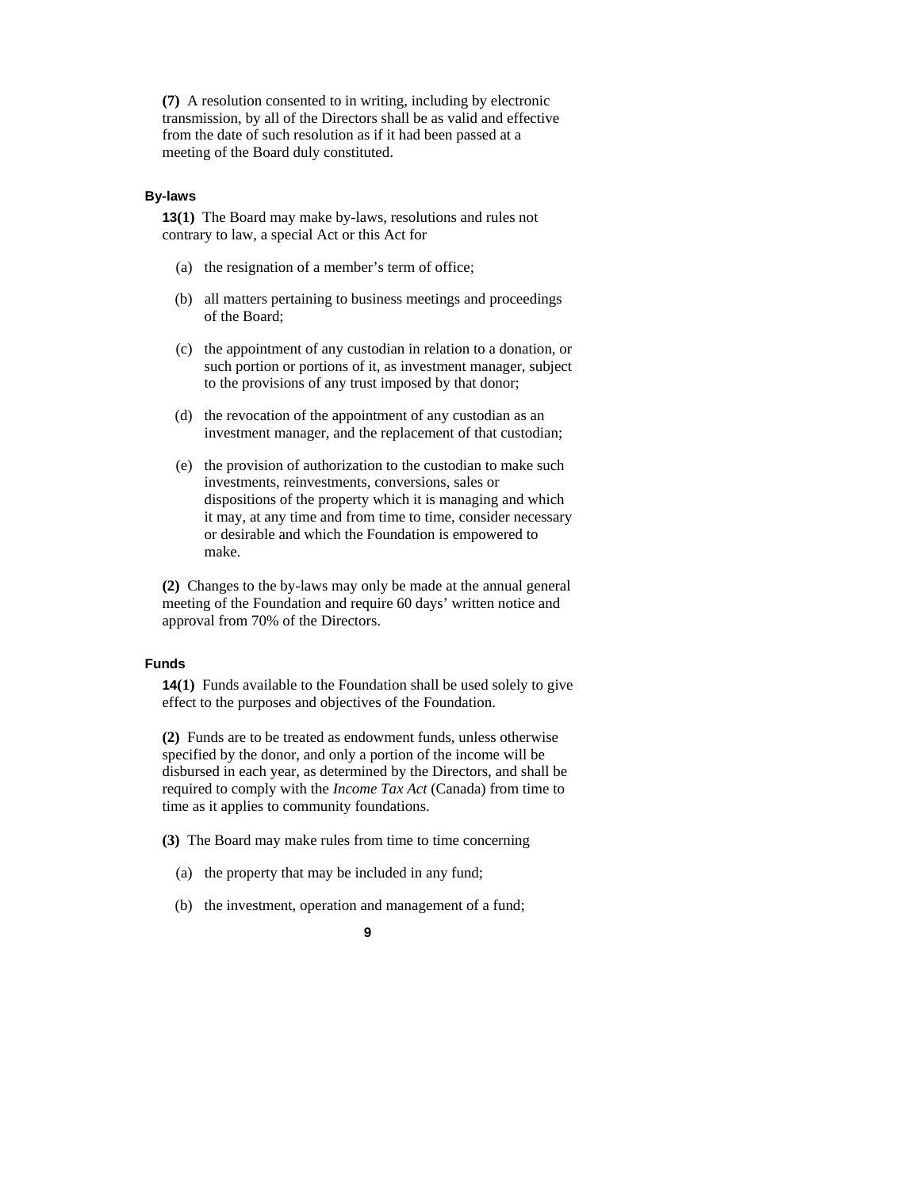**(7)** A resolution consented to in writing, including by electronic transmission, by all of the Directors shall be as valid and effective from the date of such resolution as if it had been passed at a meeting of the Board duly constituted.

#### **By-laws**

**13(1)** The Board may make by-laws, resolutions and rules not contrary to law, a special Act or this Act for

- (a) the resignation of a member's term of office;
- (b) all matters pertaining to business meetings and proceedings of the Board;
- (c) the appointment of any custodian in relation to a donation, or such portion or portions of it, as investment manager, subject to the provisions of any trust imposed by that donor;
- (d) the revocation of the appointment of any custodian as an investment manager, and the replacement of that custodian;
- (e) the provision of authorization to the custodian to make such investments, reinvestments, conversions, sales or dispositions of the property which it is managing and which it may, at any time and from time to time, consider necessary or desirable and which the Foundation is empowered to make.

**(2)** Changes to the by-laws may only be made at the annual general meeting of the Foundation and require 60 days' written notice and approval from 70% of the Directors.

#### **Funds**

**14(1)** Funds available to the Foundation shall be used solely to give effect to the purposes and objectives of the Foundation.

**(2)** Funds are to be treated as endowment funds, unless otherwise specified by the donor, and only a portion of the income will be disbursed in each year, as determined by the Directors, and shall be required to comply with the *Income Tax Act* (Canada) from time to time as it applies to community foundations.

**(3)** The Board may make rules from time to time concerning

- (a) the property that may be included in any fund;
- (b) the investment, operation and management of a fund;
	- **9**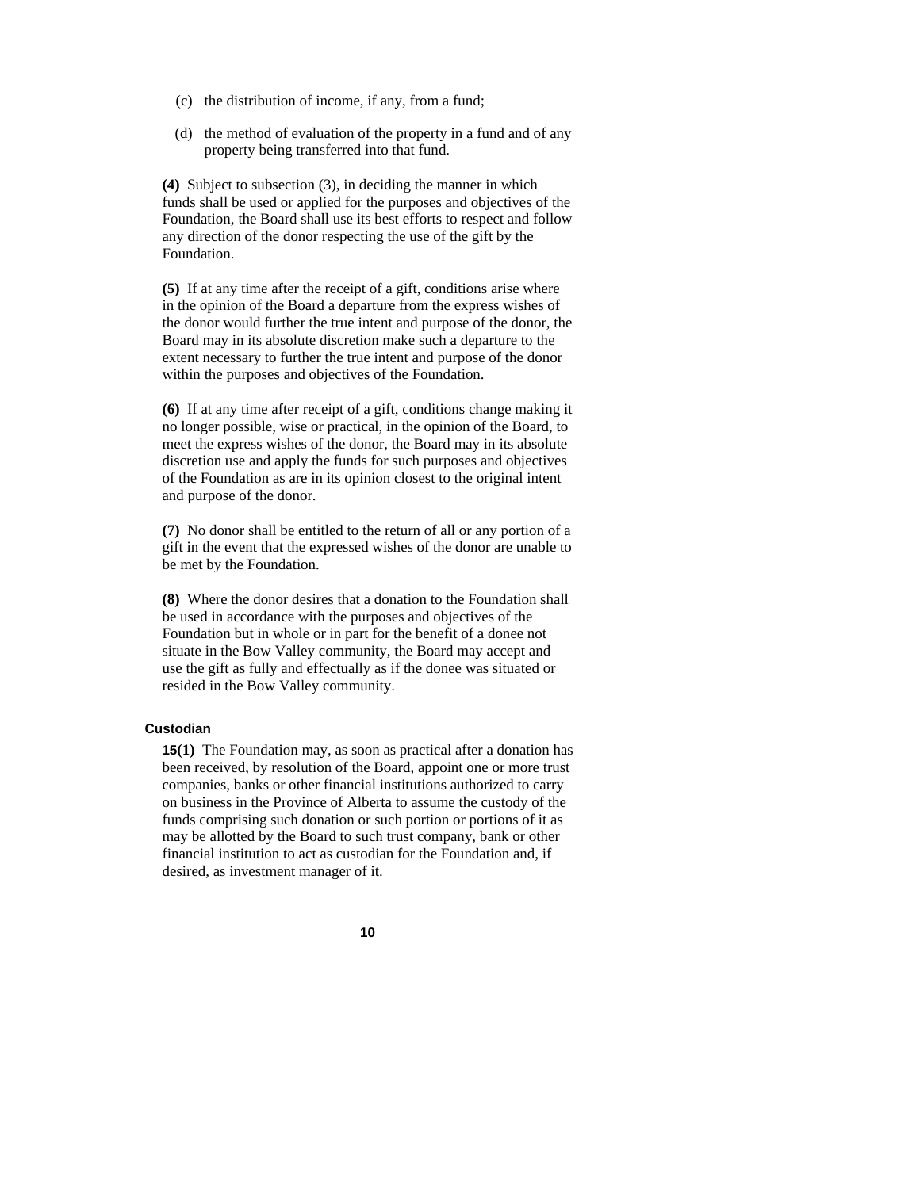- (c) the distribution of income, if any, from a fund;
- (d) the method of evaluation of the property in a fund and of any property being transferred into that fund.

**(4)** Subject to subsection (3), in deciding the manner in which funds shall be used or applied for the purposes and objectives of the Foundation, the Board shall use its best efforts to respect and follow any direction of the donor respecting the use of the gift by the Foundation.

**(5)** If at any time after the receipt of a gift, conditions arise where in the opinion of the Board a departure from the express wishes of the donor would further the true intent and purpose of the donor, the Board may in its absolute discretion make such a departure to the extent necessary to further the true intent and purpose of the donor within the purposes and objectives of the Foundation.

**(6)** If at any time after receipt of a gift, conditions change making it no longer possible, wise or practical, in the opinion of the Board, to meet the express wishes of the donor, the Board may in its absolute discretion use and apply the funds for such purposes and objectives of the Foundation as are in its opinion closest to the original intent and purpose of the donor.

**(7)** No donor shall be entitled to the return of all or any portion of a gift in the event that the expressed wishes of the donor are unable to be met by the Foundation.

**(8)** Where the donor desires that a donation to the Foundation shall be used in accordance with the purposes and objectives of the Foundation but in whole or in part for the benefit of a donee not situate in the Bow Valley community, the Board may accept and use the gift as fully and effectually as if the donee was situated or resided in the Bow Valley community.

#### **Custodian**

**15(1)** The Foundation may, as soon as practical after a donation has been received, by resolution of the Board, appoint one or more trust companies, banks or other financial institutions authorized to carry on business in the Province of Alberta to assume the custody of the funds comprising such donation or such portion or portions of it as may be allotted by the Board to such trust company, bank or other financial institution to act as custodian for the Foundation and, if desired, as investment manager of it.

**10**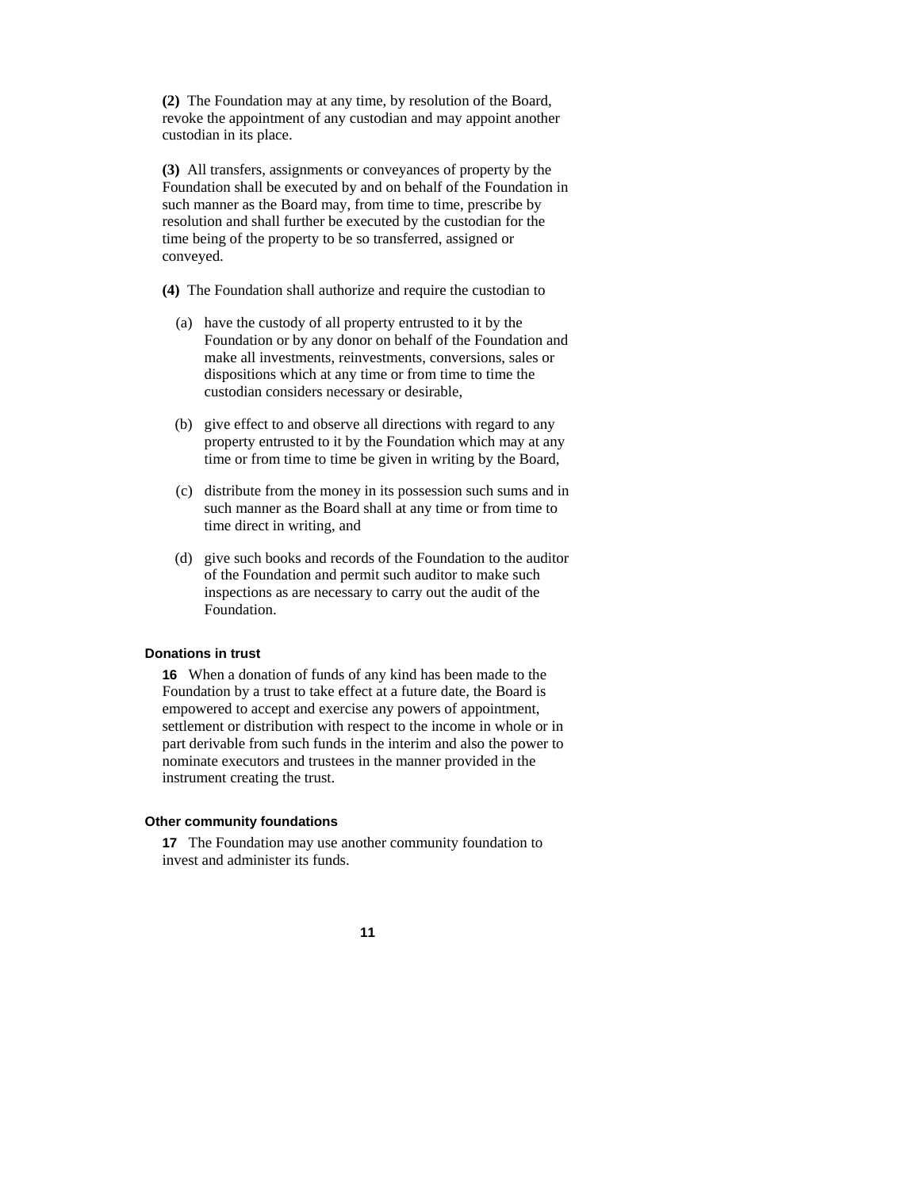**(2)** The Foundation may at any time, by resolution of the Board, revoke the appointment of any custodian and may appoint another custodian in its place.

**(3)** All transfers, assignments or conveyances of property by the Foundation shall be executed by and on behalf of the Foundation in such manner as the Board may, from time to time, prescribe by resolution and shall further be executed by the custodian for the time being of the property to be so transferred, assigned or conveyed.

**(4)** The Foundation shall authorize and require the custodian to

- (a) have the custody of all property entrusted to it by the Foundation or by any donor on behalf of the Foundation and make all investments, reinvestments, conversions, sales or dispositions which at any time or from time to time the custodian considers necessary or desirable,
- (b) give effect to and observe all directions with regard to any property entrusted to it by the Foundation which may at any time or from time to time be given in writing by the Board,
- (c) distribute from the money in its possession such sums and in such manner as the Board shall at any time or from time to time direct in writing, and
- (d) give such books and records of the Foundation to the auditor of the Foundation and permit such auditor to make such inspections as are necessary to carry out the audit of the Foundation.

#### **Donations in trust**

**16** When a donation of funds of any kind has been made to the Foundation by a trust to take effect at a future date, the Board is empowered to accept and exercise any powers of appointment, settlement or distribution with respect to the income in whole or in part derivable from such funds in the interim and also the power to nominate executors and trustees in the manner provided in the instrument creating the trust.

#### **Other community foundations**

**17** The Foundation may use another community foundation to invest and administer its funds.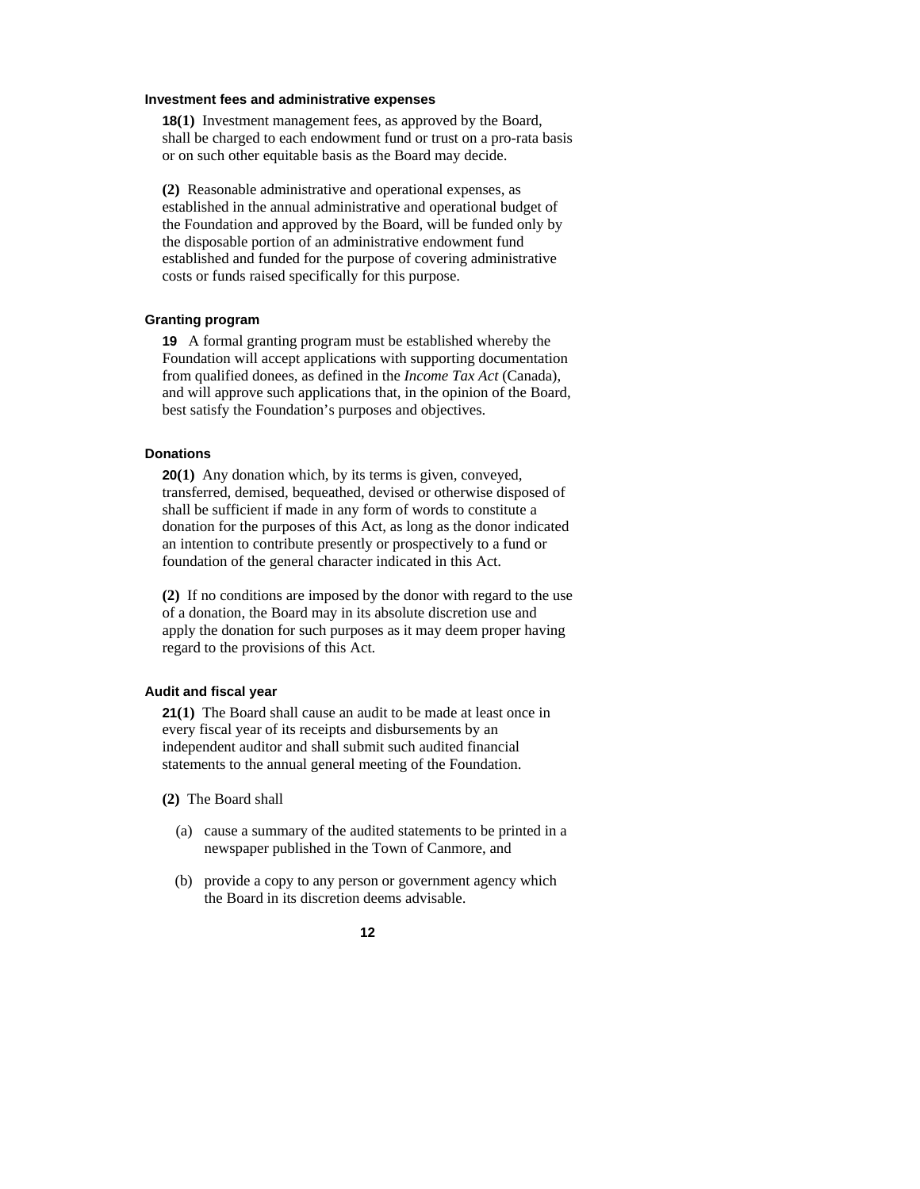#### **Investment fees and administrative expenses**

**18(1)** Investment management fees, as approved by the Board, shall be charged to each endowment fund or trust on a pro-rata basis or on such other equitable basis as the Board may decide.

**(2)** Reasonable administrative and operational expenses, as established in the annual administrative and operational budget of the Foundation and approved by the Board, will be funded only by the disposable portion of an administrative endowment fund established and funded for the purpose of covering administrative costs or funds raised specifically for this purpose.

#### **Granting program**

**19** A formal granting program must be established whereby the Foundation will accept applications with supporting documentation from qualified donees, as defined in the *Income Tax Act* (Canada), and will approve such applications that, in the opinion of the Board, best satisfy the Foundation's purposes and objectives.

## **Donations**

**20(1)** Any donation which, by its terms is given, conveyed, transferred, demised, bequeathed, devised or otherwise disposed of shall be sufficient if made in any form of words to constitute a donation for the purposes of this Act, as long as the donor indicated an intention to contribute presently or prospectively to a fund or foundation of the general character indicated in this Act.

**(2)** If no conditions are imposed by the donor with regard to the use of a donation, the Board may in its absolute discretion use and apply the donation for such purposes as it may deem proper having regard to the provisions of this Act.

#### **Audit and fiscal year**

**21(1)** The Board shall cause an audit to be made at least once in every fiscal year of its receipts and disbursements by an independent auditor and shall submit such audited financial statements to the annual general meeting of the Foundation.

**(2)** The Board shall

- (a) cause a summary of the audited statements to be printed in a newspaper published in the Town of Canmore, and
- (b) provide a copy to any person or government agency which the Board in its discretion deems advisable.